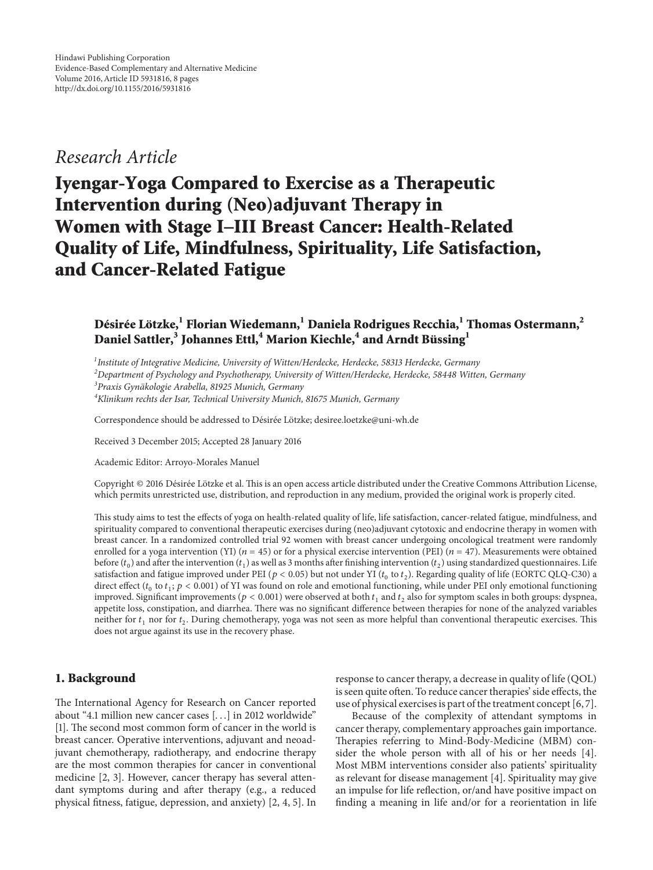## *Research Article*

# **Iyengar-Yoga Compared to Exercise as a Therapeutic Intervention during (Neo)adjuvant Therapy in Women with Stage I–III Breast Cancer: Health-Related Quality of Life, Mindfulness, Spirituality, Life Satisfaction, and Cancer-Related Fatigue**

## **Désirée Lötzke,1 Florian Wiedemann,<sup>1</sup> Daniela Rodrigues Recchia,<sup>1</sup> Thomas Ostermann,2 Daniel Sattler,3 Johannes Ettl,<sup>4</sup> Marion Kiechle,<sup>4</sup> and Arndt Büssing1**

 *Institute of Integrative Medicine, University of Witten/Herdecke, Herdecke, 58313 Herdecke, Germany Department of Psychology and Psychotherapy, University of Witten/Herdecke, Herdecke, 58448 Witten, Germany Praxis Gynakologie Arabella, 81925 Munich, Germany ¨ Klinikum rechts der Isar, Technical University Munich, 81675 Munich, Germany*

Correspondence should be addressed to Désirée Lötzke; desiree.loetzke@uni-wh.de

Received 3 December 2015; Accepted 28 January 2016

Academic Editor: Arroyo-Morales Manuel

Copyright © 2016 Désirée Lötzke et al. This is an open access article distributed under the Creative Commons Attribution License, which permits unrestricted use, distribution, and reproduction in any medium, provided the original work is properly cited.

This study aims to test the effects of yoga on health-related quality of life, life satisfaction, cancer-related fatigue, mindfulness, and spirituality compared to conventional therapeutic exercises during (neo)adjuvant cytotoxic and endocrine therapy in women with breast cancer. In a randomized controlled trial 92 women with breast cancer undergoing oncological treatment were randomly enrolled for a yoga intervention (YI) ( $n = 45$ ) or for a physical exercise intervention (PEI) ( $n = 47$ ). Measurements were obtained before  $(t_0)$  and after the intervention  $(t_1)$  as well as 3 months after finishing intervention  $(t_2)$  using standardized questionnaires. Life satisfaction and fatigue improved under PEI ( $p < 0.05$ ) but not under YI ( $t<sub>0</sub>$  to  $t<sub>2</sub>$ ). Regarding quality of life (EORTC QLQ-C30) a direct effect ( $t_0$  to  $t_1$ ;  $p < 0.001$ ) of YI was found on role and emotional functioning, while under PEI only emotional functioning improved. Significant improvements ( $p < 0.001$ ) were observed at both  $t_1$  and  $t_2$  also for symptom scales in both groups: dyspnea, appetite loss, constipation, and diarrhea. There was no significant difference between therapies for none of the analyzed variables neither for  $t_1$  nor for  $t_2$ . During chemotherapy, yoga was not seen as more helpful than conventional therapeutic exercises. This does not argue against its use in the recovery phase.

## **1. Background**

The International Agency for Research on Cancer reported about "4.1 million new cancer cases [...] in 2012 worldwide" [1]. The second most common form of cancer in the world is breast cancer. Operative interventions, adjuvant and neoadjuvant chemotherapy, radiotherapy, and endocrine therapy are the most common therapies for cancer in conventional medicine [2, 3]. However, cancer therapy has several attendant symptoms during and after therapy (e.g., a reduced physical fitness, fatigue, depression, and anxiety) [2, 4, 5]. In

response to cancer therapy, a decrease in quality of life (QOL) is seen quite often. To reduce cancer therapies' side effects, the use of physical exercises is part of the treatment concept [6, 7].

Because of the complexity of attendant symptoms in cancer therapy, complementary approaches gain importance. Therapies referring to Mind-Body-Medicine (MBM) consider the whole person with all of his or her needs [4]. Most MBM interventions consider also patients' spirituality as relevant for disease management [4]. Spirituality may give an impulse for life reflection, or/and have positive impact on finding a meaning in life and/or for a reorientation in life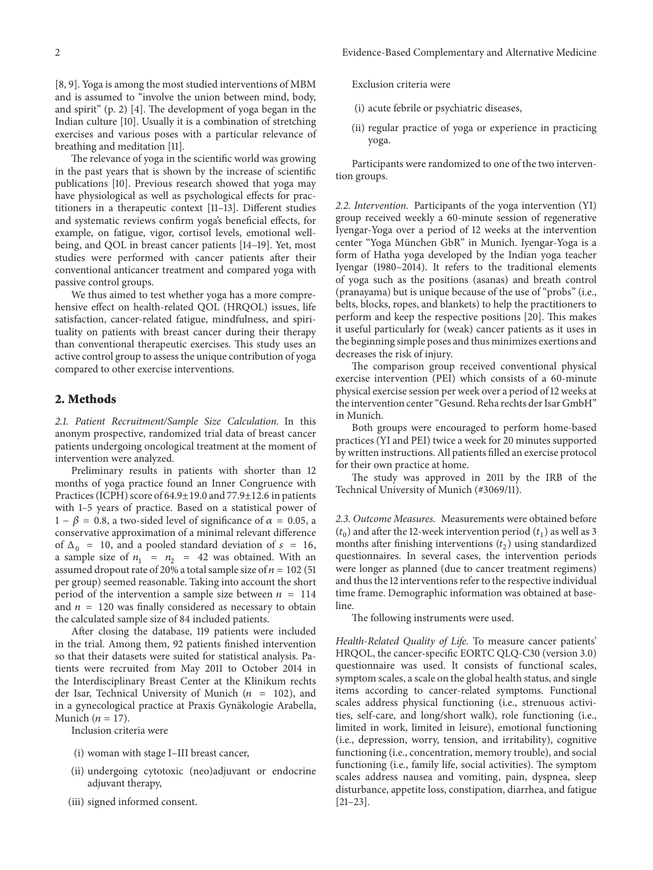[8, 9]. Yoga is among the most studied interventions of MBM and is assumed to "involve the union between mind, body, and spirit" (p. 2) [4]. The development of yoga began in the Indian culture [10]. Usually it is a combination of stretching exercises and various poses with a particular relevance of breathing and meditation [11].

The relevance of yoga in the scientific world was growing in the past years that is shown by the increase of scientific publications [10]. Previous research showed that yoga may have physiological as well as psychological effects for practitioners in a therapeutic context [11–13]. Different studies and systematic reviews confirm yoga's beneficial effects, for example, on fatigue, vigor, cortisol levels, emotional wellbeing, and QOL in breast cancer patients [14–19]. Yet, most studies were performed with cancer patients after their conventional anticancer treatment and compared yoga with passive control groups.

We thus aimed to test whether yoga has a more comprehensive effect on health-related QOL (HRQOL) issues, life satisfaction, cancer-related fatigue, mindfulness, and spirituality on patients with breast cancer during their therapy than conventional therapeutic exercises. This study uses an active control group to assess the unique contribution of yoga compared to other exercise interventions.

### **2. Methods**

*2.1. Patient Recruitment/Sample Size Calculation.* In this anonym prospective, randomized trial data of breast cancer patients undergoing oncological treatment at the moment of intervention were analyzed.

Preliminary results in patients with shorter than 12 months of yoga practice found an Inner Congruence with Practices (ICPH) score of 64.9±19.0 and 77.9±12.6 in patients with 1–5 years of practice. Based on a statistical power of  $1 - \beta = 0.8$ , a two-sided level of significance of  $\alpha = 0.05$ , a conservative approximation of a minimal relevant difference of  $\Delta_0$  = 10, and a pooled standard deviation of  $s = 16$ , a sample size of  $n_1 = n_2 = 42$  was obtained. With an assumed dropout rate of 20% a total sample size of  $n = 102$  (51 per group) seemed reasonable. Taking into account the short period of the intervention a sample size between  $n = 114$ and  $n = 120$  was finally considered as necessary to obtain the calculated sample size of 84 included patients.

After closing the database, 119 patients were included in the trial. Among them, 92 patients finished intervention so that their datasets were suited for statistical analysis. Patients were recruited from May 2011 to October 2014 in the Interdisciplinary Breast Center at the Klinikum rechts der Isar, Technical University of Munich ( $n = 102$ ), and in a gynecological practice at Praxis Gynäkologie Arabella, Munich  $(n = 17)$ .

Inclusion criteria were

- (i) woman with stage I–III breast cancer,
- (ii) undergoing cytotoxic (neo)adjuvant or endocrine adjuvant therapy,
- (iii) signed informed consent.

Exclusion criteria were

- (i) acute febrile or psychiatric diseases,
- (ii) regular practice of yoga or experience in practicing yoga.

Participants were randomized to one of the two intervention groups.

*2.2. Intervention.* Participants of the yoga intervention (YI) group received weekly a 60-minute session of regenerative Iyengar-Yoga over a period of 12 weeks at the intervention center "Yoga München GbR" in Munich. Iyengar-Yoga is a form of Hatha yoga developed by the Indian yoga teacher Iyengar (1980–2014). It refers to the traditional elements of yoga such as the positions (asanas) and breath control (pranayama) but is unique because of the use of "probs" (i.e., belts, blocks, ropes, and blankets) to help the practitioners to perform and keep the respective positions [20]. This makes it useful particularly for (weak) cancer patients as it uses in the beginning simple poses and thus minimizes exertions and decreases the risk of injury.

The comparison group received conventional physical exercise intervention (PEI) which consists of a 60-minute physical exercise session per week over a period of 12 weeks at the intervention center "Gesund. Reha rechts der Isar GmbH" in Munich.

Both groups were encouraged to perform home-based practices (YI and PEI) twice a week for 20 minutes supported by written instructions. All patients filled an exercise protocol for their own practice at home.

The study was approved in 2011 by the IRB of the Technical University of Munich (#3069/11).

*2.3. Outcome Measures.* Measurements were obtained before  $(t_0)$  and after the 12-week intervention period  $(t_1)$  as well as 3 months after finishing interventions  $(t<sub>2</sub>)$  using standardized questionnaires. In several cases, the intervention periods were longer as planned (due to cancer treatment regimens) and thus the 12 interventions refer to the respective individual time frame. Demographic information was obtained at baseline.

The following instruments were used.

*Health-Related Quality of Life.* To measure cancer patients' HRQOL, the cancer-specific EORTC QLQ-C30 (version 3.0) questionnaire was used. It consists of functional scales, symptom scales, a scale on the global health status, and single items according to cancer-related symptoms. Functional scales address physical functioning (i.e., strenuous activities, self-care, and long/short walk), role functioning (i.e., limited in work, limited in leisure), emotional functioning (i.e., depression, worry, tension, and irritability), cognitive functioning (i.e., concentration, memory trouble), and social functioning (i.e., family life, social activities). The symptom scales address nausea and vomiting, pain, dyspnea, sleep disturbance, appetite loss, constipation, diarrhea, and fatigue [21–23].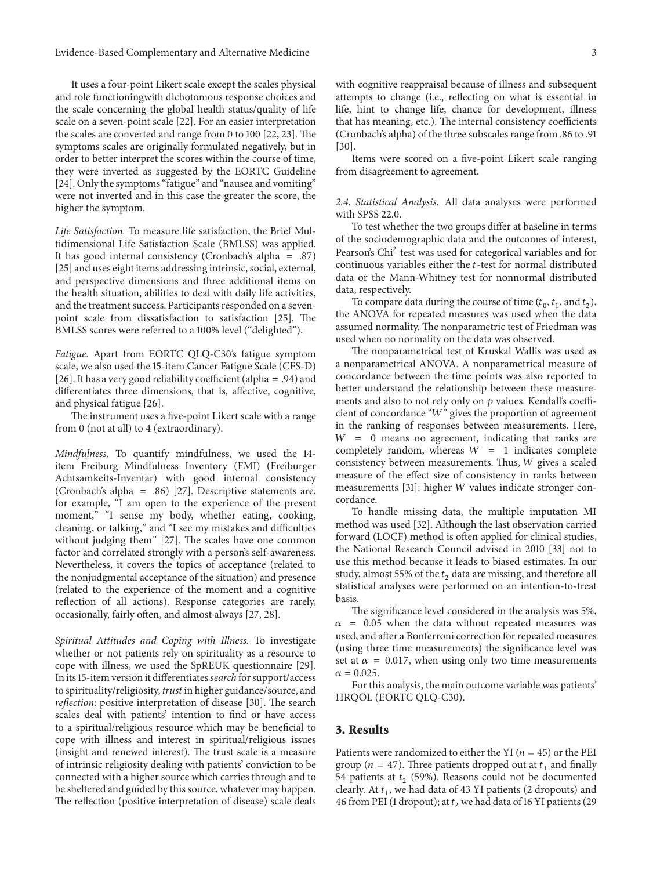It uses a four-point Likert scale except the scales physical and role functioningwith dichotomous response choices and the scale concerning the global health status/quality of life scale on a seven-point scale [22]. For an easier interpretation the scales are converted and range from 0 to 100 [22, 23]. The symptoms scales are originally formulated negatively, but in order to better interpret the scores within the course of time, they were inverted as suggested by the EORTC Guideline [24]. Only the symptoms "fatigue" and "nausea and vomiting" were not inverted and in this case the greater the score, the higher the symptom.

*Life Satisfaction.* To measure life satisfaction, the Brief Multidimensional Life Satisfaction Scale (BMLSS) was applied. It has good internal consistency (Cronbach's alpha = .87) [25] and uses eight items addressing intrinsic, social, external, and perspective dimensions and three additional items on the health situation, abilities to deal with daily life activities, and the treatment success. Participants responded on a sevenpoint scale from dissatisfaction to satisfaction [25]. The BMLSS scores were referred to a 100% level ("delighted").

*Fatigue.* Apart from EORTC QLQ-C30's fatigue symptom scale, we also used the 15-item Cancer Fatigue Scale (CFS-D) [26]. It has a very good reliability coefficient (alpha = .94) and differentiates three dimensions, that is, affective, cognitive, and physical fatigue [26].

The instrument uses a five-point Likert scale with a range from 0 (not at all) to 4 (extraordinary).

*Mindfulness.* To quantify mindfulness, we used the 14 item Freiburg Mindfulness Inventory (FMI) (Freiburger Achtsamkeits-Inventar) with good internal consistency (Cronbach's alpha = .86) [27]. Descriptive statements are, for example, "I am open to the experience of the present moment," "I sense my body, whether eating, cooking, cleaning, or talking," and "I see my mistakes and difficulties without judging them" [27]. The scales have one common factor and correlated strongly with a person's self-awareness. Nevertheless, it covers the topics of acceptance (related to the nonjudgmental acceptance of the situation) and presence (related to the experience of the moment and a cognitive reflection of all actions). Response categories are rarely, occasionally, fairly often, and almost always [27, 28].

*Spiritual Attitudes and Coping with Illness.* To investigate whether or not patients rely on spirituality as a resource to cope with illness, we used the SpREUK questionnaire [29]. In its 15-item version it differentiates*search* for support/access to spirituality/religiosity, *trust* in higher guidance/source, and *reflection*: positive interpretation of disease [30]. The search scales deal with patients' intention to find or have access to a spiritual/religious resource which may be beneficial to cope with illness and interest in spiritual/religious issues (insight and renewed interest). The trust scale is a measure of intrinsic religiosity dealing with patients' conviction to be connected with a higher source which carries through and to be sheltered and guided by this source, whatever may happen. The reflection (positive interpretation of disease) scale deals

attempts to change (i.e., reflecting on what is essential in life, hint to change life, chance for development, illness that has meaning, etc.). The internal consistency coefficients (Cronbach's alpha) of the three subscales range from .86 to .91 [30].

Items were scored on a five-point Likert scale ranging from disagreement to agreement.

#### *2.4. Statistical Analysis.* All data analyses were performed with SPSS 22.0.

To test whether the two groups differ at baseline in terms of the sociodemographic data and the outcomes of interest, Pearson's Chi<sup>2</sup> test was used for categorical variables and for continuous variables either the  $t$ -test for normal distributed data or the Mann-Whitney test for nonnormal distributed data, respectively.

To compare data during the course of time  $(t_0, t_1,$  and  $t_2)$ , the ANOVA for repeated measures was used when the data assumed normality. The nonparametric test of Friedman was used when no normality on the data was observed.

The nonparametrical test of Kruskal Wallis was used as a nonparametrical ANOVA. A nonparametrical measure of concordance between the time points was also reported to better understand the relationship between these measurements and also to not rely only on  $p$  values. Kendall's coefficient of concordance "W" gives the proportion of agreement in the ranking of responses between measurements. Here,  $W = 0$  means no agreement, indicating that ranks are completely random, whereas  $W = 1$  indicates complete consistency between measurements. Thus,  $W$  gives a scaled measure of the effect size of consistency in ranks between measurements  $[31]$ : higher *W* values indicate stronger concordance.

To handle missing data, the multiple imputation MI method was used [32]. Although the last observation carried forward (LOCF) method is often applied for clinical studies, the National Research Council advised in 2010 [33] not to use this method because it leads to biased estimates. In our study, almost 55% of the  $t_2$  data are missing, and therefore all statistical analyses were performed on an intention-to-treat basis.

The significance level considered in the analysis was 5%,  $\alpha$  = 0.05 when the data without repeated measures was used, and after a Bonferroni correction for repeated measures (using three time measurements) the significance level was set at  $\alpha = 0.017$ , when using only two time measurements  $\alpha = 0.025$ .

For this analysis, the main outcome variable was patients' HRQOL (EORTC QLQ-C30).

#### **3. Results**

Patients were randomized to either the YI ( $n = 45$ ) or the PEI group ( $n = 47$ ). Three patients dropped out at  $t_1$  and finally 54 patients at  $t_2$  (59%). Reasons could not be documented clearly. At  $t_1$ , we had data of 43 YI patients (2 dropouts) and 46 from PEI (1 dropout); at  $t_2$  we had data of 16 YI patients (29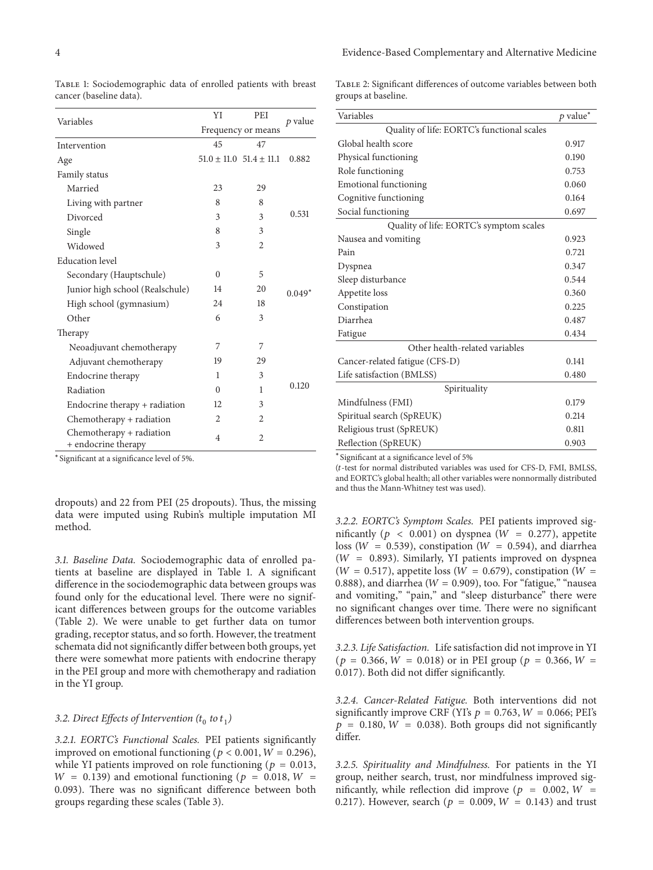| Variables                                       | YI                              | PEI                | $p$ value |
|-------------------------------------------------|---------------------------------|--------------------|-----------|
|                                                 |                                 | Frequency or means |           |
| Intervention                                    | 45                              | 47                 |           |
| Age                                             | $51.0 \pm 11.0$ $51.4 \pm 11.1$ |                    | 0.882     |
| Family status                                   |                                 |                    |           |
| Married                                         | 23                              | 29                 |           |
| Living with partner                             | 8                               | 8                  |           |
| Divorced                                        | 3                               | 3                  | 0.531     |
| Single                                          | 8                               | 3                  |           |
| Widowed                                         | 3                               | $\overline{c}$     |           |
| <b>Education</b> level                          |                                 |                    |           |
| Secondary (Hauptschule)                         | $\Omega$                        | 5                  |           |
| Junior high school (Realschule)                 | 14                              | 20                 | $0.049*$  |
| High school (gymnasium)                         | 24                              | 18                 |           |
| Other                                           | 6                               | 3                  |           |
| Therapy                                         |                                 |                    |           |
| Neoadjuvant chemotherapy                        | 7                               | 7                  |           |
| Adjuvant chemotherapy                           | 19                              | 29                 |           |
| Endocrine therapy                               | $\mathbf{1}$                    | 3                  |           |
| Radiation                                       | $\Omega$                        | 1                  | 0.120     |
| Endocrine therapy + radiation                   | 12                              | 3                  |           |
| Chemotherapy + radiation                        | $\overline{2}$                  | 2                  |           |
| Chemotherapy + radiation<br>+ endocrine therapy | 4                               | $\overline{c}$     |           |
|                                                 |                                 |                    |           |

Table 1: Sociodemographic data of enrolled patients with breast cancer (baseline data).

Table 2: Significant differences of outcome variables between both groups at baseline.

Variables *p* value<sup>∗</sup>

| Quality of life: EORTC's functional scales |       |
|--------------------------------------------|-------|
| Global health score                        | 0.917 |
| Physical functioning                       | 0.190 |
| Role functioning                           | 0.753 |
| <b>Emotional functioning</b>               | 0.060 |
| Cognitive functioning                      | 0.164 |
| Social functioning                         | 0.697 |
| Quality of life: EORTC's symptom scales    |       |
| Nausea and vomiting                        | 0.923 |
| Pain                                       | 0.721 |
| Dyspnea                                    | 0.347 |
| Sleep disturbance                          | 0.544 |
| Appetite loss                              | 0.360 |
| Constipation                               | 0.225 |
| Diarrhea                                   | 0.487 |
| Fatigue                                    | 0.434 |
| Other health-related variables             |       |
| Cancer-related fatigue (CFS-D)             | 0.141 |
| Life satisfaction (BMLSS)                  | 0.480 |
| Spirituality                               |       |
| Mindfulness (FMI)                          | 0.179 |
| Spiritual search (SpREUK)                  | 0.214 |
| Religious trust (SpREUK)                   | 0.811 |
| Reflection (SpREUK)                        | 0.903 |

<sup>∗</sup>Significant at a significance level of 5%.

dropouts) and 22 from PEI (25 dropouts). Thus, the missing data were imputed using Rubin's multiple imputation MI method.

*3.1. Baseline Data.* Sociodemographic data of enrolled patients at baseline are displayed in Table 1. A significant difference in the sociodemographic data between groups was found only for the educational level. There were no significant differences between groups for the outcome variables (Table 2). We were unable to get further data on tumor grading, receptor status, and so forth. However, the treatment schemata did not significantly differ between both groups, yet there were somewhat more patients with endocrine therapy in the PEI group and more with chemotherapy and radiation in the YI group.

#### *3.2. Direct Effects of Intervention*  $(t_0$  *to*  $t_1$ *)*

*3.2.1. EORTC's Functional Scales.* PEI patients significantly improved on emotional functioning ( $p < 0.001$ ,  $W = 0.296$ ), while YI patients improved on role functioning ( $p = 0.013$ ,  $W = 0.139$ ) and emotional functioning ( $p = 0.018$ ,  $W =$ 0.093). There was no significant difference between both groups regarding these scales (Table 3).

<sup>∗</sup>Significant at a significance level of 5%

 $(t$ -test for normal distributed variables was used for CFS-D, FMI, BMLSS, and EORTC's global health; all other variables were nonnormally distributed and thus the Mann-Whitney test was used).

*3.2.2. EORTC's Symptom Scales.* PEI patients improved significantly ( $p < 0.001$ ) on dyspnea ( $W = 0.277$ ), appetite loss ( $W = 0.539$ ), constipation ( $W = 0.594$ ), and diarrhea  $(W = 0.893)$ . Similarly, YI patients improved on dyspnea  $(W = 0.517)$ , appetite loss  $(W = 0.679)$ , constipation  $(W = 0.617)$ 0.888), and diarrhea ( $W = 0.909$ ), too. For "fatigue," "nausea and vomiting," "pain," and "sleep disturbance" there were no significant changes over time. There were no significant differences between both intervention groups.

*3.2.3. Life Satisfaction.* Life satisfaction did not improve in YI  $(p = 0.366, W = 0.018)$  or in PEI group  $(p = 0.366, W = 0.018)$ 0.017). Both did not differ significantly.

*3.2.4. Cancer-Related Fatigue.* Both interventions did not significantly improve CRF (YI's  $p = 0.763$ ,  $W = 0.066$ ; PEI's  $p = 0.180$ ,  $W = 0.038$ ). Both groups did not significantly differ.

*3.2.5. Spirituality and Mindfulness.* For patients in the YI group, neither search, trust, nor mindfulness improved significantly, while reflection did improve ( $p = 0.002$ ,  $W =$ 0.217). However, search ( $p = 0.009$ ,  $W = 0.143$ ) and trust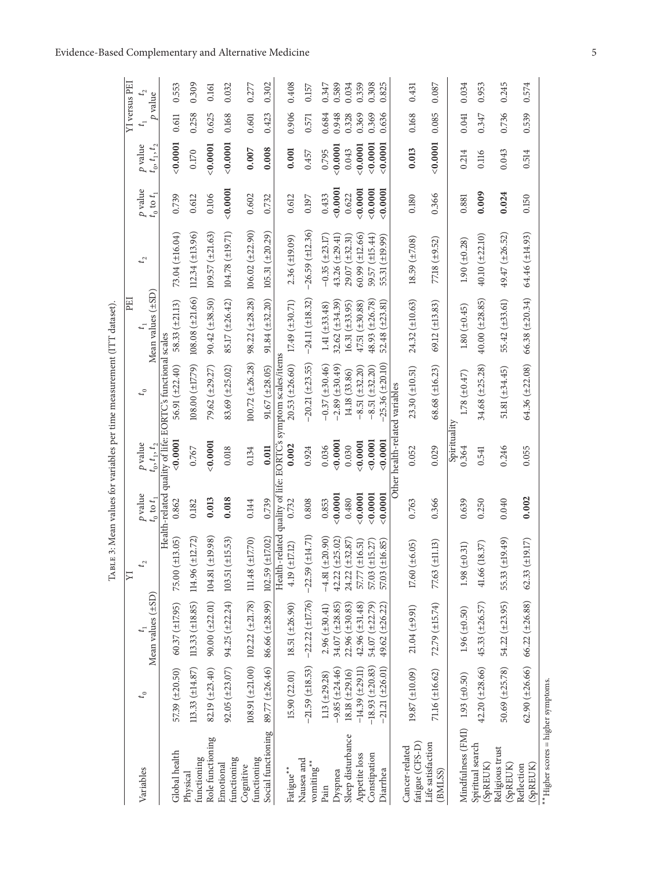|                                                        |                          |                                                                     | TABLE.<br>И             |                            |                                | 3: Mean values for variables per time measurement (ITT dataset). | PEI                    |                         |                |                 | YI versus PEI |       |
|--------------------------------------------------------|--------------------------|---------------------------------------------------------------------|-------------------------|----------------------------|--------------------------------|------------------------------------------------------------------|------------------------|-------------------------|----------------|-----------------|---------------|-------|
| Variables                                              | $t_{0}$                  |                                                                     | $t_2$                   | $p$ value                  | $p$ value                      | $t_{0}$                                                          |                        | $t_2$                   | $p$ value      | p value         | $t_1$         | $t_2$ |
|                                                        |                          | Mean values $(\pm SD)$                                              |                         | $t_{\rm 0}$ to $t_{\rm 1}$ | $t_0, t_1, t_2$                |                                                                  | Mean values $(\pm SD)$ |                         | $t_0$ to $t_1$ | $t_0, t_1, t_2$ | p value       |       |
|                                                        |                          |                                                                     |                         | Health-related             |                                | quality of life: EORTC's functional scales                       |                        |                         |                |                 |               |       |
| Global health                                          | 57.39 (±20.50)           | $60.37 (\pm 17.95)$                                                 | (13.05)<br>75.00 $(\pm$ | 0.862                      | < 0.0001                       | 56.91 (±22.40)                                                   | 58.33 (±21.13)         | 73.04 (±16.04)          | 0.739          | 0.0001          | 0.611         | 0.553 |
| functioning<br>Physical                                | $113.33 (\pm 14.87)$     | $113.33 \ (\pm 18.85)$                                              | $114.96 \ (\pm 12.72)$  | 0.182                      | 0.767                          | $108.00 (\pm 17.79)$                                             | $108.08 (\pm 21.66)$   | $112.34(\pm 13.96)$     | 0.612          | 0.170           | 0.258         | 0.309 |
| Role functioning                                       | 82.19 (±23.40)           | $90.00 (\pm 22.01)$                                                 | $104.81(\pm 19.98)$     | 0.013                      | < 0.0001                       | 79.62 (±29.27)                                                   | $90.42 (\pm 38.50)$    | $109.57 \ (\pm 21.63)$  | 0.106          | < 0.0001        | 0.625         | 0.161 |
| functioning<br>Emotional                               | $92.05 (\pm 23.07)$      | 94.25 (±22.24)                                                      | $103.51 (\pm 15.53)$    | 0.018                      | 0.018                          | $83.69 \ (\pm 25.02)$                                            | 85.17 (±26.42)         | 104.78 (±19.71)         | &0.0001        | < 0.0001        | 0.168         | 0.032 |
| functioning<br>Cognitive                               |                          | $108.91 \left( \pm 21.00 \right)$ $102.22 \left( \pm 21.78 \right)$ | $111.48 \ (\pm 17.70)$  | 0.144                      | 0.134                          | $100.72 (\pm 26.28)$                                             | $98.22 (\pm 28.28)$    | $106.02 (\pm 22.90)$    | 0.602          | 0.007           | 0.601         | 0.277 |
| Social functioning                                     | 89.77 (±26.46)           | 86.66 (±28.99)                                                      | $102.59 \ (\pm 17.02)$  | 0.739                      | 0.011                          | $91.67 (\pm 28.05)$                                              | $91.84 (\pm 32.20)$    | $105.31 (\pm 20.29)$    | 0.732          | 0.008           | 0.423         | 0.302 |
|                                                        |                          |                                                                     |                         |                            |                                | Health-related quality of life: EORTC's symptom scales/items     |                        |                         |                |                 |               |       |
| Fatigue <sup>**</sup>                                  | 15.90 (22.01)            | 18.51 $(\pm 26.90)$                                                 | $4.19 (\pm 17.12)$      | 0.732                      | 0.002                          | $20.53 (\pm 26.60)$                                              | $17.49 \ (\pm 30.71)$  | $2.36(\pm 19.09)$       | 0.612          | 0.001           | 0.906         | 0.408 |
| Nausea and<br>$\frac{1}{2}$                            | $-21.59 \ (\pm 18.53)$   | $-22.22 (\pm 17.76)$                                                | $-22.59$ ( $\pm$ 14.71) | 0.808                      | 0.924                          | $-20.21(\pm 23.55)$                                              | $-24.11 (\pm 18.32)$   | $-26.59$ ( $\pm$ 12.36) | 0.197          | 0.457           | 0.571         | 0.157 |
| Pain                                                   | $1.13 (\pm 29.28)$       | $2.96 \ (\pm 30.41)$                                                | $-4.81(\pm 20.90)$      | 0.853                      | 0.036                          | $-0.37(\pm 30.46)$                                               | $1.41 (\pm 33.48)$     | $-0.35$ ( $\pm 23.17$ ) | 0.433          | 0.795           | 0.684         | 0.347 |
| Dyspnea                                                | $-9.85$ ( $\pm 24.46$ )  | $34.07(\pm 28.85)$                                                  | $42.22 (\pm 25.02)$     | &0.0001                    | &0.0001                        | $-2.89 \ (\pm 30.49)$                                            | $32.62 \ (\pm 34.39)$  | $43.26 \ (\pm 29.41)$   | &0.0001        | < 0.0001        | 0.948         | 0.589 |
| Sleep disturbance                                      | $18.18 (\pm 29.16)$      | $22.96 \ (\pm 30.83)$                                               | $24.22 (\pm 32.87)$     | 0.480                      | 0.030                          | 14.18 (33.86)                                                    | $16.31 (\pm 33.95)$    | $29.07 (\pm 32.31)$     | 0.622          | 0.043           | 0.328         | 0.034 |
| Appetite loss                                          | $-14.39$ ( $\pm 29.11$ ) | $42.96(\pm31.48)$                                                   | 57.77 (±16.51)          | < 0.0001                   | < 0.0001                       | $-8.51 (\pm 32.20)$                                              | $47.51(\pm30.88)$      | $60.99 \ (\pm 12.66)$   | &0.0001        | 0.0001          | 0.369         | 0.359 |
| Constipation                                           | $-18.93 (\pm 20.83)$     | 54.07 (±22.79)                                                      | 57.03 (±15.27)          | &0.0001                    | < 0.0001                       | $-8.51 (\pm 32.20)$                                              | $48.93 \ (\pm 26.78)$  | 59.57 (±15.44)          | < 0.0001       | &0.0001         | 0.369         | 0.308 |
| Diarrhea                                               | $-21.21 (\pm 26.01)$     | $49.62 (\pm 26.22)$                                                 | 57.03 (±16.85)          | &0.0001                    | &0.0001                        | $25.36 (\pm 20.10)$                                              | $52.48(\pm 23.81)$     | 55.31 (±19.99)          | < 0.0001       | &0.0001         | 0.636         | 0.825 |
|                                                        |                          |                                                                     |                         |                            | Other health-related variables |                                                                  |                        |                         |                |                 |               |       |
| fatigue (CFS-D)<br>Cancer-related                      | $19.87 (\pm 10.09)$      | $21.04 (\pm 9.91)$                                                  | (6.05)<br>$17.60 \pm$   | 0.763                      | 0.052                          | $23.30 (\pm 10.51)$                                              | 24.32 (±10.63)         | 18.59 $(\pm 7.08)$      | 0.180          | 0.013           | 0.168         | 0.431 |
| Life satisfaction<br>(BMLSS)                           | $71.16 (\pm 16.62)$      | 72.79 (±15.74)                                                      | $77.63 \ (\pm 11.13)$   | 0.366                      | 0.029                          | 68.68 (±16.23)                                                   | $69.12 \ (\pm 13.83)$  | 77.18 $(\pm 9.52)$      | 0.366          | &0.0001         | 0.085         | 0.087 |
|                                                        |                          |                                                                     |                         |                            | Spirituality                   |                                                                  |                        |                         |                |                 |               |       |
| Mindfulness (FMI)                                      | $1.93 \ (\pm 0.50)$      | $1.96 \ (\pm 0.50)$                                                 | $1.98 \ (\pm 0.31)$     | 0.639                      | 0.364                          | $1.78 \ (\pm 0.47)$                                              | $1.80 (\pm 0.45)$      | $1.90 (\pm 0.28)$       | 0.881          | 0.214           | 0.041         | 0.034 |
| Spiritual search<br>(SpREUK)                           | $42.20 (\pm 28.66)$      | 45.33 (±26.57)                                                      | 8.37)<br>41.66 (1       | 0.250                      | 0.541                          | $34.68 (\pm 25.28)$                                              | $40.00 (\pm 28.85)$    | $40.10 (\pm 22.10)$     | 0.009          | 0.116           | 0.347         | 0.953 |
| Religious trust<br>(SpREUK)                            | $50.69 (\pm 25.78)$      | 54.22 (±23.95)                                                      | 19.49)<br>55.33 (±      | 0.040                      | 0.246                          | $51.81(\pm 34.45)$                                               | 55.42 (±33.61)         | 49.47 ( $\pm$ 26.52)    | 0.024          | 0.043           | 0.736         | 0.245 |
| (SpREUK)<br>Reflection                                 |                          | $62.90 \ (\pm 26.66)$ $66.22 \ (\pm 26.88)$                         | $62.33 \ (\pm 19.17)$   | 0.002                      | 0.055                          | 64.36 ( $\pm$ 22.08)                                             | 66.38 $(\pm 20.34)$    | 64.46 (±14.93)          | 0.150          | 0.514           | 0.539         | 0.574 |
| $\hspace{-0.1cm}^*$ * Higher scores = higher symptoms. |                          |                                                                     |                         |                            |                                |                                                                  |                        |                         |                |                 |               |       |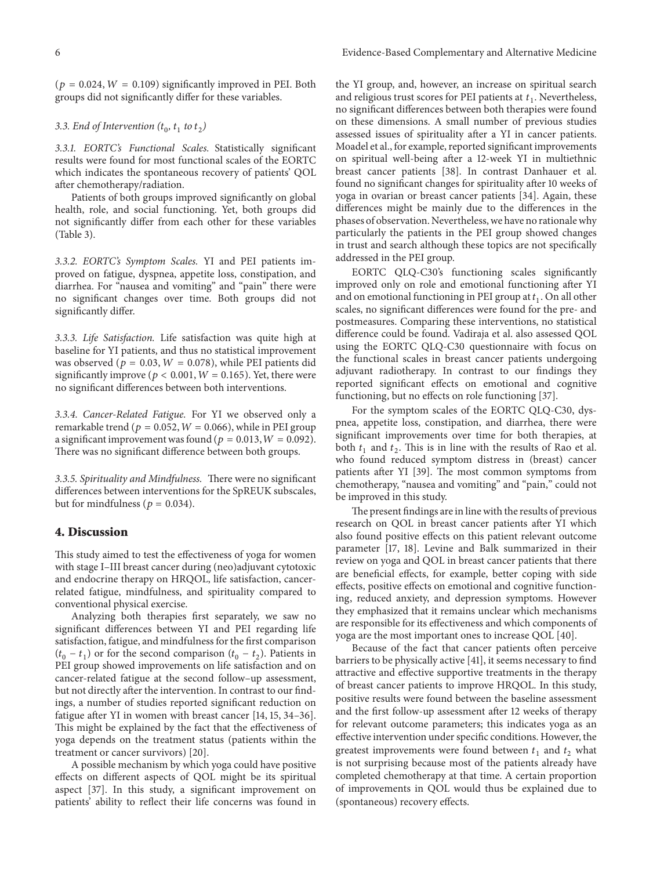$(p = 0.024, W = 0.109)$  significantly improved in PEI. Both groups did not significantly differ for these variables.

#### *3.3. End of Intervention*  $(t_0, t_1$  to  $t_2$ )

*3.3.1. EORTC's Functional Scales.* Statistically significant results were found for most functional scales of the EORTC which indicates the spontaneous recovery of patients' QOL after chemotherapy/radiation.

Patients of both groups improved significantly on global health, role, and social functioning. Yet, both groups did not significantly differ from each other for these variables (Table 3).

*3.3.2. EORTC's Symptom Scales.* YI and PEI patients improved on fatigue, dyspnea, appetite loss, constipation, and diarrhea. For "nausea and vomiting" and "pain" there were no significant changes over time. Both groups did not significantly differ.

*3.3.3. Life Satisfaction.* Life satisfaction was quite high at baseline for YI patients, and thus no statistical improvement was observed ( $p = 0.03$ ,  $W = 0.078$ ), while PEI patients did significantly improve ( $p < 0.001$ ,  $W = 0.165$ ). Yet, there were no significant differences between both interventions.

*3.3.4. Cancer-Related Fatigue.* For YI we observed only a remarkable trend ( $p = 0.052$ ,  $W = 0.066$ ), while in PEI group a significant improvement was found ( $p = 0.013$ ,  $W = 0.092$ ). There was no significant difference between both groups.

*3.3.5. Spirituality and Mindfulness.* There were no significant differences between interventions for the SpREUK subscales, but for mindfulness ( $p = 0.034$ ).

#### **4. Discussion**

This study aimed to test the effectiveness of yoga for women with stage I–III breast cancer during (neo)adjuvant cytotoxic and endocrine therapy on HRQOL, life satisfaction, cancerrelated fatigue, mindfulness, and spirituality compared to conventional physical exercise.

Analyzing both therapies first separately, we saw no significant differences between YI and PEI regarding life satisfaction, fatigue, and mindfulness for the first comparison  $(t_0 - t_1)$  or for the second comparison  $(t_0 - t_2)$ . Patients in PEI group showed improvements on life satisfaction and on cancer-related fatigue at the second follow–up assessment, but not directly after the intervention. In contrast to our findings, a number of studies reported significant reduction on fatigue after YI in women with breast cancer [14, 15, 34–36]. This might be explained by the fact that the effectiveness of yoga depends on the treatment status (patients within the treatment or cancer survivors) [20].

A possible mechanism by which yoga could have positive effects on different aspects of QOL might be its spiritual aspect [37]. In this study, a significant improvement on patients' ability to reflect their life concerns was found in the YI group, and, however, an increase on spiritual search and religious trust scores for PEI patients at  $t_1$ . Nevertheless, no significant differences between both therapies were found on these dimensions. A small number of previous studies assessed issues of spirituality after a YI in cancer patients. Moadel et al., for example, reported significant improvements on spiritual well-being after a 12-week YI in multiethnic breast cancer patients [38]. In contrast Danhauer et al. found no significant changes for spirituality after 10 weeks of yoga in ovarian or breast cancer patients [34]. Again, these differences might be mainly due to the differences in the phases of observation. Nevertheless, we have no rationale why particularly the patients in the PEI group showed changes in trust and search although these topics are not specifically addressed in the PEI group.

EORTC QLQ-C30's functioning scales significantly improved only on role and emotional functioning after YI and on emotional functioning in PEI group at  $t_1$ . On all other scales, no significant differences were found for the pre- and postmeasures. Comparing these interventions, no statistical difference could be found. Vadiraja et al. also assessed QOL using the EORTC QLQ-C30 questionnaire with focus on the functional scales in breast cancer patients undergoing adjuvant radiotherapy. In contrast to our findings they reported significant effects on emotional and cognitive functioning, but no effects on role functioning [37].

For the symptom scales of the EORTC QLQ-C30, dyspnea, appetite loss, constipation, and diarrhea, there were significant improvements over time for both therapies, at both  $t_1$  and  $t_2$ . This is in line with the results of Rao et al. who found reduced symptom distress in (breast) cancer patients after YI [39]. The most common symptoms from chemotherapy, "nausea and vomiting" and "pain," could not be improved in this study.

The present findings are in line with the results of previous research on QOL in breast cancer patients after YI which also found positive effects on this patient relevant outcome parameter [17, 18]. Levine and Balk summarized in their review on yoga and QOL in breast cancer patients that there are beneficial effects, for example, better coping with side effects, positive effects on emotional and cognitive functioning, reduced anxiety, and depression symptoms. However they emphasized that it remains unclear which mechanisms are responsible for its effectiveness and which components of yoga are the most important ones to increase QOL [40].

Because of the fact that cancer patients often perceive barriers to be physically active [41], it seems necessary to find attractive and effective supportive treatments in the therapy of breast cancer patients to improve HRQOL. In this study, positive results were found between the baseline assessment and the first follow-up assessment after 12 weeks of therapy for relevant outcome parameters; this indicates yoga as an effective intervention under specific conditions. However, the greatest improvements were found between  $t_1$  and  $t_2$  what is not surprising because most of the patients already have completed chemotherapy at that time. A certain proportion of improvements in QOL would thus be explained due to (spontaneous) recovery effects.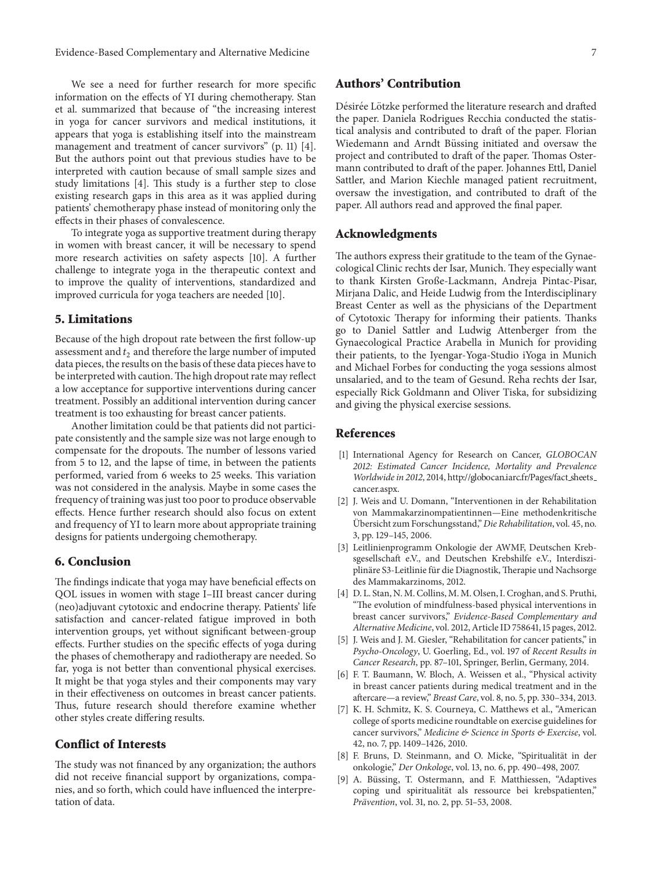We see a need for further research for more specific information on the effects of YI during chemotherapy. Stan et al. summarized that because of "the increasing interest in yoga for cancer survivors and medical institutions, it appears that yoga is establishing itself into the mainstream management and treatment of cancer survivors" (p. 11) [4]. But the authors point out that previous studies have to be interpreted with caution because of small sample sizes and study limitations [4]. This study is a further step to close existing research gaps in this area as it was applied during patients' chemotherapy phase instead of monitoring only the effects in their phases of convalescence.

To integrate yoga as supportive treatment during therapy in women with breast cancer, it will be necessary to spend more research activities on safety aspects [10]. A further challenge to integrate yoga in the therapeutic context and to improve the quality of interventions, standardized and improved curricula for yoga teachers are needed [10].

#### **5. Limitations**

Because of the high dropout rate between the first follow-up assessment and  $t_2$  and therefore the large number of imputed data pieces, the results on the basis of these data pieces have to be interpreted with caution.The high dropout rate may reflect a low acceptance for supportive interventions during cancer treatment. Possibly an additional intervention during cancer treatment is too exhausting for breast cancer patients.

Another limitation could be that patients did not participate consistently and the sample size was not large enough to compensate for the dropouts. The number of lessons varied from 5 to 12, and the lapse of time, in between the patients performed, varied from 6 weeks to 25 weeks. This variation was not considered in the analysis. Maybe in some cases the frequency of training was just too poor to produce observable effects. Hence further research should also focus on extent and frequency of YI to learn more about appropriate training designs for patients undergoing chemotherapy.

#### **6. Conclusion**

The findings indicate that yoga may have beneficial effects on QOL issues in women with stage I–III breast cancer during (neo)adjuvant cytotoxic and endocrine therapy. Patients' life satisfaction and cancer-related fatigue improved in both intervention groups, yet without significant between-group effects. Further studies on the specific effects of yoga during the phases of chemotherapy and radiotherapy are needed. So far, yoga is not better than conventional physical exercises. It might be that yoga styles and their components may vary in their effectiveness on outcomes in breast cancer patients. Thus, future research should therefore examine whether other styles create differing results.

## **Conflict of Interests**

The study was not financed by any organization; the authors did not receive financial support by organizations, companies, and so forth, which could have influenced the interpretation of data.

## **Authors' Contribution**

Désirée Lötzke performed the literature research and drafted the paper. Daniela Rodrigues Recchia conducted the statistical analysis and contributed to draft of the paper. Florian Wiedemann and Arndt Büssing initiated and oversaw the project and contributed to draft of the paper. Thomas Ostermann contributed to draft of the paper. Johannes Ettl, Daniel Sattler, and Marion Kiechle managed patient recruitment, oversaw the investigation, and contributed to draft of the paper. All authors read and approved the final paper.

#### **Acknowledgments**

The authors express their gratitude to the team of the Gynaecological Clinic rechts der Isar, Munich. They especially want to thank Kirsten Große-Lackmann, Andreja Pintac-Pisar, Mirjana Dalic, and Heide Ludwig from the Interdisciplinary Breast Center as well as the physicians of the Department of Cytotoxic Therapy for informing their patients. Thanks go to Daniel Sattler and Ludwig Attenberger from the Gynaecological Practice Arabella in Munich for providing their patients, to the Iyengar-Yoga-Studio iYoga in Munich and Michael Forbes for conducting the yoga sessions almost unsalaried, and to the team of Gesund. Reha rechts der Isar, especially Rick Goldmann and Oliver Tiska, for subsidizing and giving the physical exercise sessions.

## **References**

- [1] International Agency for Research on Cancer, *GLOBOCAN 2012: Estimated Cancer Incidence, Mortality and Prevalence Worldwide in 2012*, 2014, http://globocan.iarc.fr/Pages/fact sheets cancer.aspx.
- [2] J. Weis and U. Domann, "Interventionen in der Rehabilitation von Mammakarzinompatientinnen—Eine methodenkritische Übersicht zum Forschungsstand," Die Rehabilitation, vol. 45, no. 3, pp. 129–145, 2006.
- [3] Leitlinienprogramm Onkologie der AWMF, Deutschen Krebsgesellschaft e.V., and Deutschen Krebshilfe e.V., Interdisziplinäre S3-Leitlinie für die Diagnostik, Therapie und Nachsorge des Mammakarzinoms, 2012.
- [4] D. L. Stan, N. M. Collins, M. M. Olsen, I. Croghan, and S. Pruthi, "The evolution of mindfulness-based physical interventions in breast cancer survivors," *Evidence-Based Complementary and Alternative Medicine*, vol. 2012, Article ID 758641, 15 pages, 2012.
- [5] J. Weis and J. M. Giesler, "Rehabilitation for cancer patients," in *Psycho-Oncology*, U. Goerling, Ed., vol. 197 of *Recent Results in Cancer Research*, pp. 87–101, Springer, Berlin, Germany, 2014.
- [6] F. T. Baumann, W. Bloch, A. Weissen et al., "Physical activity in breast cancer patients during medical treatment and in the aftercare—a review," *Breast Care*, vol. 8, no. 5, pp. 330–334, 2013.
- [7] K. H. Schmitz, K. S. Courneya, C. Matthews et al., "American college of sports medicine roundtable on exercise guidelines for cancer survivors," *Medicine & Science in Sports & Exercise*, vol. 42, no. 7, pp. 1409–1426, 2010.
- [8] F. Bruns, D. Steinmann, and O. Micke, "Spiritualität in der onkologie," *Der Onkologe*, vol. 13, no. 6, pp. 490–498, 2007.
- [9] A. Büssing, T. Ostermann, and F. Matthiessen, "Adaptives coping und spiritualität als ressource bei krebspatienten," *Prävention*, vol. 31, no. 2, pp. 51-53, 2008.